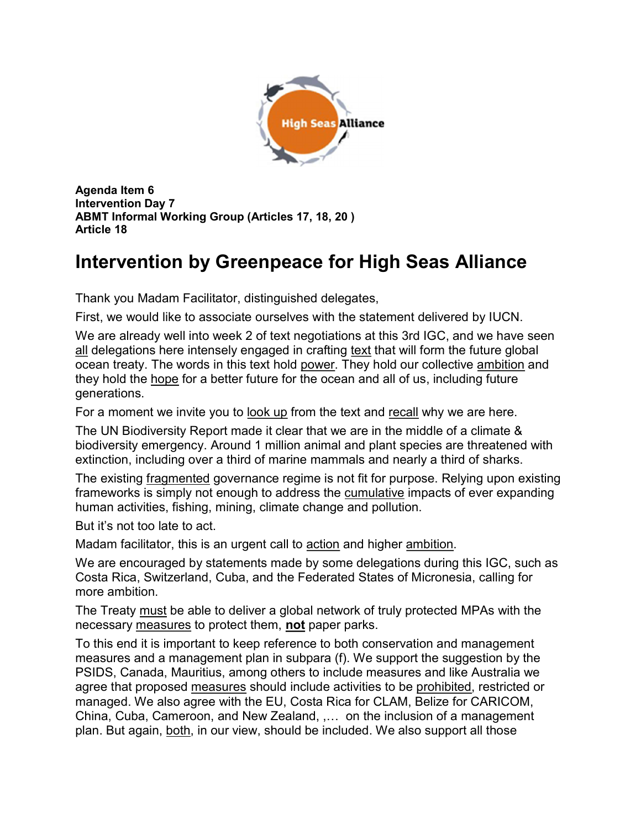

Agenda Item 6 Intervention Day 7 ABMT Informal Working Group (Articles 17, 18, 20 ) Article 18

## Intervention by Greenpeace for High Seas Alliance

Thank you Madam Facilitator, distinguished delegates,

First, we would like to associate ourselves with the statement delivered by IUCN.

We are already well into week 2 of text negotiations at this 3rd IGC, and we have seen all delegations here intensely engaged in crafting text that will form the future global ocean treaty. The words in this text hold power. They hold our collective ambition and they hold the hope for a better future for the ocean and all of us, including future generations.

For a moment we invite you to look up from the text and recall why we are here.

The UN Biodiversity Report made it clear that we are in the middle of a climate & biodiversity emergency. Around 1 million animal and plant species are threatened with extinction, including over a third of marine mammals and nearly a third of sharks.

The existing fragmented governance regime is not fit for purpose. Relying upon existing frameworks is simply not enough to address the cumulative impacts of ever expanding human activities, fishing, mining, climate change and pollution.

But it's not too late to act.

Madam facilitator, this is an urgent call to action and higher ambition.

We are encouraged by statements made by some delegations during this IGC, such as Costa Rica, Switzerland, Cuba, and the Federated States of Micronesia, calling for more ambition.

The Treaty must be able to deliver a global network of truly protected MPAs with the necessary measures to protect them, not paper parks.

To this end it is important to keep reference to both conservation and management measures and a management plan in subpara (f). We support the suggestion by the PSIDS, Canada, Mauritius, among others to include measures and like Australia we agree that proposed measures should include activities to be prohibited, restricted or managed. We also agree with the EU, Costa Rica for CLAM, Belize for CARICOM, China, Cuba, Cameroon, and New Zealand, ,… on the inclusion of a management plan. But again, both, in our view, should be included. We also support all those